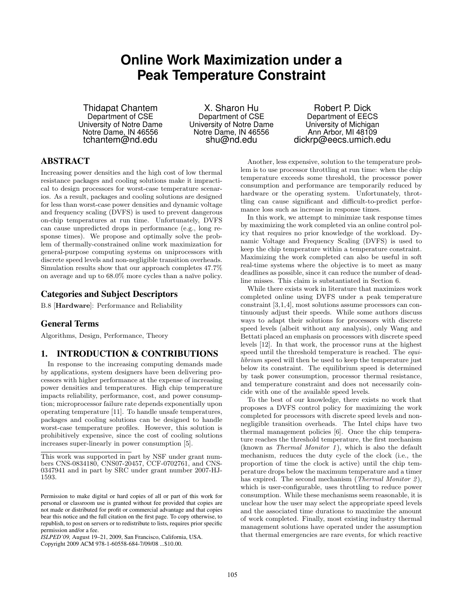# **Online Work Maximization under a Peak Temperature Constraint**

Thidapat Chantem Department of CSE University of Notre Dame Notre Dame, IN 46556 tchantem@nd.edu

X. Sharon Hu Department of CSE University of Notre Dame Notre Dame, IN 46556 shu@nd.edu

Robert P. Dick Department of EECS University of Michigan Ann Arbor, MI 48109 dickrp@eecs.umich.edu

## ABSTRACT

Increasing power densities and the high cost of low thermal resistance packages and cooling solutions make it impractical to design processors for worst-case temperature scenarios. As a result, packages and cooling solutions are designed for less than worst-case power densities and dynamic voltage and frequency scaling (DVFS) is used to prevent dangerous on-chip temperatures at run time. Unfortunately, DVFS can cause unpredicted drops in performance (e.g., long response times). We propose and optimally solve the problem of thermally-constrained online work maximization for general-purpose computing systems on uniprocessors with discrete speed levels and non-negligible transition overheads. Simulation results show that our approach completes 47.7% on average and up to  $68.0\%$  more cycles than a naïve policy.

## Categories and Subject Descriptors

B.8 [Hardware]: Performance and Reliability

## General Terms

Algorithms, Design, Performance, Theory

#### 1. INTRODUCTION & CONTRIBUTIONS

In response to the increasing computing demands made by applications, system designers have been delivering processors with higher performance at the expense of increasing power densities and temperatures. High chip temperature impacts reliability, performance, cost, and power consumption; microprocessor failure rate depends exponentially upon operating temperature [11]. To handle unsafe temperatures, packages and cooling solutions can be designed to handle worst-case temperature profiles. However, this solution is prohibitively expensive, since the cost of cooling solutions increases super-linearly in power consumption [5].

*ISLPED'09,* August 19–21, 2009, San Francisco, California, USA.

Copyright 2009 ACM 978-1-60558-684-7/09/08 ...\$10.00.

Another, less expensive, solution to the temperature problem is to use processor throttling at run time: when the chip temperature exceeds some threshold, the processor power consumption and performance are temporarily reduced by hardware or the operating system. Unfortunately, throttling can cause significant and difficult-to-predict performance loss such as increase in response times.

In this work, we attempt to minimize task response times by maximizing the work completed via an online control policy that requires no prior knowledge of the workload. Dynamic Voltage and Frequency Scaling (DVFS) is used to keep the chip temperature within a temperature constraint. Maximizing the work completed can also be useful in soft real-time systems where the objective is to meet as many deadlines as possible, since it can reduce the number of deadline misses. This claim is substantiated in Section 6.

While there exists work in literature that maximizes work completed online using DVFS under a peak temperature constraint [3,1,4], most solutions assume processors can continuously adjust their speeds. While some authors discuss ways to adapt their solutions for processors with discrete speed levels (albeit without any analysis), only Wang and Bettati placed an emphasis on processors with discrete speed levels [12]. In that work, the processor runs at the highest speed until the threshold temperature is reached. The *equi*librium speed will then be used to keep the temperature just below its constraint. The equilibrium speed is determined by task power consumption, processor thermal resistance, and temperature constraint and does not necessarily coincide with one of the available speed levels.

To the best of our knowledge, there exists no work that proposes a DVFS control policy for maximizing the work completed for processors with discrete speed levels and nonnegligible transition overheads. The Intel chips have two thermal management policies [6]. Once the chip temperature reaches the threshold temperature, the first mechanism (known as Thermal Monitor 1), which is also the default mechanism, reduces the duty cycle of the clock (i.e., the proportion of time the clock is active) until the chip temperature drops below the maximum temperature and a timer has expired. The second mechanism (*Thermal Monitor 2*), which is user-configurable, uses throttling to reduce power consumption. While these mechanisms seem reasonable, it is unclear how the user may select the appropriate speed levels and the associated time durations to maximize the amount of work completed. Finally, most existing industry thermal management solutions have operated under the assumption that thermal emergencies are rare events, for which reactive

This work was supported in part by NSF under grant numbers CNS-0834180, CNS07-20457, CCF-0702761, and CNS-0347941 and in part by SRC under grant number 2007-HJ-1593.

Permission to make digital or hard copies of all or part of this work for personal or classroom use is granted without fee provided that copies are not made or distributed for profit or commercial advantage and that copies bear this notice and the full citation on the first page. To copy otherwise, to republish, to post on servers or to redistribute to lists, requires prior specific permission and/or a fee.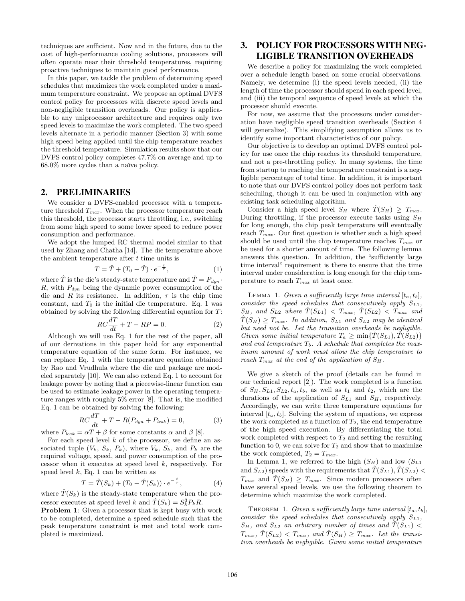techniques are sufficient. Now and in the future, due to the cost of high-performance cooling solutions, processors will often operate near their threshold temperatures, requiring proactive techniques to maintain good performance.

In this paper, we tackle the problem of determining speed schedules that maximizes the work completed under a maximum temperature constraint. We propose an optimal DVFS control policy for processors with discrete speed levels and non-negligible transition overheads. Our policy is applicable to any uniprocessor architecture and requires only two speed levels to maximize the work completed. The two speed levels alternate in a periodic manner (Section 3) with some high speed being applied until the chip temperature reaches the threshold temperature. Simulation results show that our DVFS control policy completes 47.7% on average and up to  $68.0\%$  more cycles than a naïve policy.

## 2. PRELIMINARIES

We consider a DVFS-enabled processor with a temperature threshold  $T_{max}$ . When the processor temperature reach this threshold, the processor starts throttling, i.e., switching from some high speed to some lower speed to reduce power consumption and performance.

We adopt the lumped RC thermal model similar to that used by Zhang and Chatha [14]. The die temperature above the ambient temperature after  $t$  time units is

$$
T = \hat{T} + (T_0 - \hat{T}) \cdot e^{-\frac{t}{\tau}}, \tag{1}
$$

where T is the die's steady-state temperature and  $T = P_{dyn}$ . R, with  $P_{dyn}$  being the dynamic power consumption of the die and R its resistance. In addition,  $\tau$  is the chip time constant, and  $T_0$  is the initial die temperature. Eq. 1 was obtained by solving the following differential equation for T:

$$
RC\frac{dT}{dt} + T - RP = 0.
$$
 (2)

Although we will use Eq. 1 for the rest of the paper, all of our derivations in this paper hold for any exponential temperature equation of the same form. For instance, we can replace Eq. 1 with the temperature equation obtained by Rao and Vrudhula where the die and package are modeled separately [10]. We can also extend Eq. 1 to account for leakage power by noting that a piecewise-linear function can be used to estimate leakage power in the operating temperature ranges with roughly 5% error [8]. That is, the modified Eq. 1 can be obtained by solving the following:

$$
RC\frac{dT}{dt} + T - R(P_{dyn} + P_{leak}) = 0,
$$
\n(3)

where  $P_{leak} = \alpha T + \beta$  for some constants  $\alpha$  and  $\beta$  [8].

For each speed level  $k$  of the processor, we define an associated tuple  $(V_k, S_k, P_k)$ , where  $V_k, S_k$ , and  $P_k$  are the required voltage, speed, and power consumption of the processor when it executes at speed level k, respectively. For speed level  $k$ , Eq. 1 can be written as

$$
T = \hat{T}(S_k) + (T_0 - \hat{T}(S_k)) \cdot e^{-\frac{t}{\tau}}, \tag{4}
$$

where  $\hat{T}(S_k)$  is the steady-state temperature when the processor executes at speed level k and  $\hat{T}(S_k) = S_k^3 P_k R$ .

Problem 1: Given a processor that is kept busy with work to be completed, determine a speed schedule such that the peak temperature constraint is met and total work completed is maximized.

# 3. POLICY FOR PROCESSORS WITH NEG-LIGIBLE TRANSITION OVERHEADS

We describe a policy for maximizing the work completed over a schedule length based on some crucial observations. Namely, we determine (i) the speed levels needed, (ii) the length of time the processor should spend in each speed level, and (iii) the temporal sequence of speed levels at which the processor should execute.

For now, we assume that the processors under consideration have negligible speed transition overheads (Section 4 will generalize). This simplifying assumption allows us to identify some important characteristics of our policy.

Our objective is to develop an optimal DVFS control policy for use once the chip reaches its threshold temperature, and not a pre-throttling policy. In many systems, the time from startup to reaching the temperature constraint is a negligible percentage of total time. In addition, it is important to note that our DVFS control policy does not perform task scheduling, though it can be used in conjunction with any existing task scheduling algorithm.

Consider a high speed level  $S_H$  where  $\hat{T}(S_H) \geq T_{max}$ . During throttling, if the processor execute tasks using  $S_H$ for long enough, the chip peak temperature will eventually reach  $T_{max}$ . Our first question is whether such a high speed should be used until the chip temperature reaches  $T_{max}$  or be used for a shorter amount of time. The following lemma answers this question. In addition, the "sufficiently large time interval" requirement is there to ensure that the time interval under consideration is long enough for the chip temperature to reach  $T_{max}$  at least once.

LEMMA 1. Given a sufficiently large time interval  $[t_a, t_b]$ , consider the speed schedules that consecutively apply  $S_{L1}$ ,  $S_H$ , and  $S_{L2}$  where  $\hat{T}(S_{L1}) < T_{max}$ ,  $\hat{T}(S_{L2}) < T_{max}$  and  $T(S_H) \geq T_{max}$ . In addition,  $S_{L1}$  and  $S_{L2}$  may be identical but need not be. Let the transition overheads be negligible. Given some initial temperature  $T_a \geq \min\{T(S_{L1}), T(S_{L2})\}$ and end temperature  $T_b$ . A schedule that completes the maximum amount of work must allow the chip temperature to reach  $T_{max}$  at the end of the application of  $S_H$ .

We give a sketch of the proof (details can be found in our technical report [2]). The work completed is a function of  $S_H$ ,  $S_{L1}$ ,  $S_{L2}$ ,  $t_a$ ,  $t_b$ , as well as  $t_1$  and  $t_2$ , which are the durations of the application of  $S_{L1}$  and  $S_H$ , respectively. Accordingly, we can write three temperature equations for interval  $[t_a, t_b]$ . Solving the system of equations, we express the work completed as a function of  $T_2$ , the end temperature of the high speed execution. By differentiating the total work completed with respect to  $T_2$  and setting the resulting function to 0, we can solve for  $T_2$  and show that to maximize the work completed,  $T_2 = T_{max}$ .

In Lemma 1, we referred to the high  $(S_H)$  and low  $(S_{L1})$ and  $S_{L2}$ ) speeds with the requirements that  $\hat{T}(S_{L1}), \hat{T}(S_{L2})$  $T_{max}$  and  $\hat{T}(S_H) \geq T_{max}$ . Since modern processors often have several speed levels, we use the following theorem to determine which maximize the work completed.

THEOREM 1. Given a sufficiently large time interval  $[t_a, t_b]$ , consider the speed schedules that consecutively apply S<sup>L</sup>1,  $S_H$ , and  $S_{L2}$  an arbitrary number of times and  $\hat{T}(S_{L1})$  $T_{max}$ ,  $\hat{T}(S_{L2}) < T_{max}$ , and  $\hat{T}(S_H) \geq T_{max}$ . Let the transition overheads be negligible. Given some initial temperature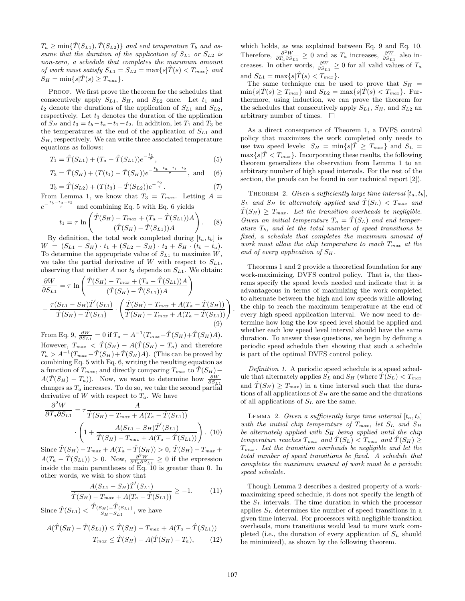$T_a \geq \min\{\hat{T}(S_{L1}), \hat{T}(S_{L2})\}$  and end temperature  $T_b$  and assume that the duration of the application of  $S_{L1}$  or  $S_{L2}$  is non-zero, a schedule that completes the maximum amount of work must satisfy  $S_{L1} = S_{L2} = \max\{s|\hat{T}(s) < T_{max}\}\$ and  $S_H = \min\{s|\hat{T}(s) \geq T_{max}\}.$ 

PROOF. We first prove the theorem for the schedules that consecutively apply  $S_{L1}$ ,  $S_H$ , and  $S_{L2}$  once. Let  $t_1$  and  $t_2$  denote the durations of the application of  $S_{L1}$  and  $S_{L2}$ , respectively. Let  $t_3$  denotes the duration of the application of  $S_H$  and  $t_3 = t_b - t_a - t_1 - t_2$ . In addition, let  $T_1$  and  $T_3$  be the temperatures at the end of the application of  $S_{L1}$  and  $S_H$ , respectively. We can write three associated temperature equations as follows:

$$
T_1 = \hat{T}(S_{L1}) + (T_a - \hat{T}(S_{L1}))e^{-\frac{t_1}{\tau}}, \tag{5}
$$

$$
T_3 = \hat{T}(S_H) + (T(t_1) - \hat{T}(S_H))e^{-\frac{t_b - t_a - t_1 - t_2}{\tau}}, \text{ and } (6)
$$

$$
T_b = \hat{T}(S_{L2}) + (T(t_3) - \hat{T}(S_{L2}))e^{-\frac{t_2}{\tau}}.
$$
\n(7)

From Lemma 1, we know that  $T_3 = T_{max}$ . Letting  $A =$  $e^{-\frac{t_b-t_a-t_2}{\tau}}$  and combining Eq. 5 with Eq. 6 yields

$$
t_1 = \tau \ln \left( \frac{\hat{T}(S_H) - T_{max} + (T_a - \hat{T}(S_{L1}))A}{(\hat{T}(S_H) - \hat{T}(S_{L1}))A} \right). \tag{8}
$$

By definition, the total work completed during  $[t_a, t_b]$  is  $W = (S_{L1} - S_H) \cdot t_1 + (S_{L2} - S_H) \cdot t_2 + S_H \cdot (t_b - t_a).$ To determine the appropriate value of  $S_{L1}$  to maximize  $W$ , we take the partial derivative of W with respect to  $S_{L1}$ , observing that neither A nor  $t_2$  depends on  $S_{L1}$ . We obtain:

$$
\frac{\partial W}{\partial S_{L1}} = \tau \ln \left( \frac{\hat{T}(S_H) - T_{max} + (T_a - \hat{T}(S_{L1}))A}{(\hat{T}(S_H) - \hat{T}(S_{L1}))A} \right) \n+ \frac{\tau(S_{L1} - S_H)\hat{T}'(S_{L1})}{\hat{T}(S_H) - \hat{T}(S_{L1})} \cdot \left( \frac{\hat{T}(S_H) - T_{max} + A(T_a - \hat{T}(S_H))}{\hat{T}(S_H) - T_{max} + A(T_a - \hat{T}(S_{L1}))} \right)
$$
\n(9)

From Eq. 9,  $\frac{\partial W}{\partial S_{L1}} = 0$  if  $T_a = A^{-1}(T_{max} - \hat{T}(S_H) + \hat{T}(S_H)A)$ . However,  $T_{max} < \hat{T}(S_H) - A(\hat{T}(S_H) - T_a)$  and therefore  $T_a > A^{-1} (T_{max} - \hat{T}(S_H) + \hat{T}(S_H)A)$ . (This can be proved by combining Eq. 5 with Eq. 6, writing the resulting equation as a function of  $T_{max}$ , and directly comparing  $T_{max}$  to  $\hat{T}(S_H)$  –  $A(\hat{T}(S_H) - T_a)$ ). Now, we want to determine how  $\frac{\partial W}{\partial S_{L_1}}$ changes as  $T_a$  increases. To do so, we take the second partial derivative of  $W$  with respect to  $T_a$ . We have

$$
\frac{\partial^2 W}{\partial T_a \partial S_{L1}} = \tau \frac{A}{\hat{T}(S_H) - T_{max} + A(T_a - \hat{T}(S_{L1}))}
$$

$$
\cdot \left( 1 + \frac{A(S_{L1} - S_H)\hat{T}'(S_{L1})}{\hat{T}(S_H) - T_{max} + A(T_a - \hat{T}(S_{L1}))} \right). (10)
$$

Since  $\hat{T}(S_H) - T_{max} + A(T_a - \hat{T}(S_H)) > 0$ ,  $\hat{T}(S_H) - T_{max}$  $A(T_a - \hat{T}(S_{L1})) > 0$ . Now,  $\frac{\partial^2 W}{\partial T_a \partial S_{L1}} \ge 0$  if the expression inside the main parentheses of Eq. 10 is greater than 0. In other words, we wish to show that

$$
\frac{A(S_{L1} - S_H)\hat{T}'(S_{L1})}{\hat{T}(S_H) - T_{max} + A(T_a - \hat{T}(S_{L1}))} \ge -1.
$$
 (11)

Since  $\hat{T}(S_{L1}) < \frac{\hat{T}(S_H) - \hat{T}(S_{L1})}{S_H - S_{L1}},$  we have

$$
A(\hat{T}(S_H) - \hat{T}(S_{L1})) \leq \hat{T}(S_H) - T_{max} + A(T_a - \hat{T}(S_{L1}))
$$
  

$$
T_{max} \leq \hat{T}(S_H) - A(\hat{T}(S_H) - T_a), \qquad (12)
$$

which holds, as was explained between Eq. 9 and Eq. 10. Therefore,  $\frac{\partial^2 W}{\partial T_a \partial S_{L1}} \geq 0$  and as  $T_a$  increases,  $\frac{\partial W}{\partial S_{L1}}$  also increases. In other words,  $\frac{\partial W}{\partial S_{L1}} \geq 0$  for all values of  $T_a$ and  $S_{L1} = \max\{s|\hat{T}(s) < T_{max}\}.$ 

The same technique can be used to prove that  $S_H$  =  $\min\{s|\hat{T}(s) \geq T_{max}\}\$ and  $S_{L2} = \max\{s|\hat{T}(s) < T_{max}\}\$ . Furthermore, using induction, we can prove the theorem for the schedules that consecutively apply  $S_{L1}$ ,  $S_H$ , and  $S_{L2}$  and arbitrary number of times.  $\Box$ 

As a direct consequence of Theorem 1, a DVFS control policy that maximizes the work completed only needs to use two speed levels:  $S_H = \min\{s|\hat{T} \geq T_{max}\}\$ and  $S_L =$  $\max\{s|\hat{T} < T_{max}\}\$ . Incorporating these results, the following theorem generalizes the observation from Lemma 1 to an arbitrary number of high speed intervals. For the rest of the section, the proofs can be found in our technical report [2]).

THEOREM 2. Given a sufficiently large time interval  $[t_a, t_b]$ ,  $S_L$  and  $S_H$  be alternately applied and  $T(S_L) < T_{max}$  and  $\hat{T}(S_H) \geq T_{max}$ . Let the transition overheads be negligible. Given an initial temperature  $T_a = \hat{T}(S_L)$  and end temperature  $T_b$ , and let the total number of speed transitions be fixed, a schedule that completes the maximum amount of work must allow the chip temperature to reach  $T_{max}$  at the end of every application of  $S_H$ .

Theorems 1 and 2 provide a theoretical foundation for any work-maximizing, DVFS control policy. That is, the theorems specify the speed levels needed and indicate that it is advantageous in terms of maximizing the work completed to alternate between the high and low speeds while allowing the chip to reach the maximum temperature at the end of every high speed application interval. We now need to determine how long the low speed level should be applied and whether each low speed level interval should have the same duration. To answer these questions, we begin by defining a periodic speed schedule then showing that such a schedule is part of the optimal DVFS control policy.

Definition 1. A periodic speed schedule is a speed schedule that alternately applies  $S_L$  and  $S_H$  (where  $\hat{T}(S_L) < T_{max}$ and  $T(S_H) \geq T_{max}$ ) in a time interval such that the durations of all applications of  $S_H$  are the same and the durations of all applications of  $S_L$  are the same.

LEMMA 2. Given a sufficiently large time interval  $[t_a, t_b]$ with the initial chip temperature of  $T_{max}$ , let  $S_L$  and  $S_H$ be alternately applied with  $S_H$  being applied until the chip temperature reaches  $T_{max}$  and  $\hat{T}(S_L) < T_{max}$  and  $\hat{T}(S_H) \geq$  $T_{max}$ . Let the transition overheads be negligible and let the total number of speed transitions be fixed. A schedule that completes the maximum amount of work must be a periodic speed schedule.

Though Lemma 2 describes a desired property of a workmaximizing speed schedule, it does not specify the length of the  $S_L$  intervals. The time duration in which the processor applies  $S_L$  determines the number of speed transitions in a given time interval. For processors with negligible transition overheads, more transitions would lead to more work completed (i.e., the duration of every application of  $S_L$  should be minimized), as shown by the following theorem.

.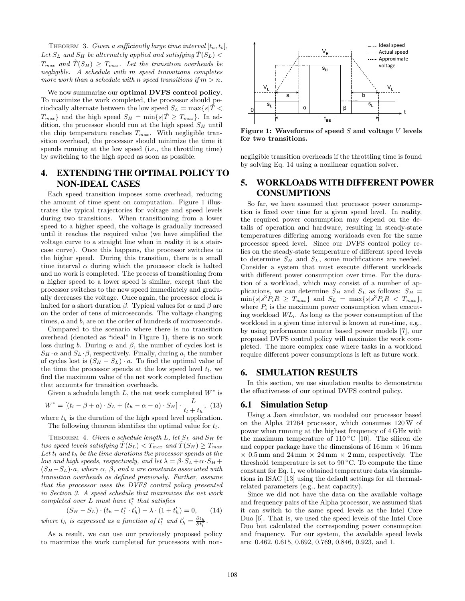THEOREM 3. Given a sufficiently large time interval  $[t_a, t_b]$ , Let  $S_L$  and  $S_H$  be alternately applied and satisfying  $\hat{T}(S_L)$  $T_{max}$  and  $\hat{T}(S_H) \geq T_{max}$ . Let the transition overheads be negligible. A schedule with m speed transitions completes more work than a schedule with n speed transitions if  $m > n$ .

We now summarize our **optimal DVFS** control policy. To maximize the work completed, the processor should periodically alternate between the low speed  $S_L = \max\{s|\hat{T}<\hat{T}\}$  $T_{max}$  and the high speed  $S_H = \min\{s|\hat{T} \geq T_{max}\}\$ . In addition, the processor should run at the high speed  $S_H$  until the chip temperature reaches  $T_{max}$ . With negligible transition overhead, the processor should minimize the time it spends running at the low speed (i.e., the throttling time) by switching to the high speed as soon as possible.

# 4. EXTENDING THE OPTIMAL POLICY TO NON-IDEAL CASES

Each speed transition imposes some overhead, reducing the amount of time spent on computation. Figure 1 illustrates the typical trajectories for voltage and speed levels during two transitions. When transitioning from a lower speed to a higher speed, the voltage is gradually increased until it reaches the required value (we have simplified the voltage curve to a straight line when in reality it is a staircase curve). Once this happens, the processor switches to the higher speed. During this transition, there is a small time interval  $\alpha$  during which the processor clock is halted and no work is completed. The process of transitioning from a higher speed to a lower speed is similar, except that the processor switches to the new speed immediately and gradually decreases the voltage. Once again, the processor clock is halted for a short duration  $\beta$ . Typical values for  $\alpha$  and  $\beta$  are on the order of tens of microseconds. The voltage changing times, a and b, are on the order of hundreds of microseconds.

Compared to the scenario where there is no transition overhead (denoted as "ideal" in Figure 1), there is no work loss during b. During  $\alpha$  and  $\beta$ , the number of cycles lost is  $S_H \cdot \alpha$  and  $S_L \cdot \beta$ , respectively. Finally, during a, the number of cycles lost is  $(S_H - S_L) \cdot a$ . To find the optimal value of the time the processor spends at the low speed level  $t_l$ , we find the maximum value of the net work completed function that accounts for transition overheads.

Given a schedule length  $L$ , the net work completed  $W^*$  is

$$
W^* = [(t_l - \beta + a) \cdot S_L + (t_h - \alpha - a) \cdot S_H] \cdot \frac{L}{t_l + t_h}, (13)
$$

where  $t_h$  is the duration of the high speed level application. The following theorem identifies the optimal value for  $t_l$ .

THEOREM 4. Given a schedule length  $L$ , let  $S_L$  and  $S_H$  be two speed levels satisfying  $T(S_L) < T_{max}$  and  $T(S_H) \geq T_{max}$ Let  $t_l$  and  $t_h$  be the time durations the processor spends at the low and high speeds, respectively, and let  $\lambda = \beta \cdot S_L + \alpha \cdot S_H +$  $(S_H-S_L)\cdot a$ , where  $\alpha$ ,  $\beta$ , and a are constants associated with transition overheads as defined previously. Further, assume that the processor uses the DVFS control policy presented in Section 3. A speed schedule that maximizes the net work completed over  $\overline{L}$  must have  $t_l^*$  that satisfies

$$
(S_H - S_L) \cdot (t_h - t_l^* \cdot t_h') - \lambda \cdot (1 + t_h') = 0, \quad (14)
$$
  
where  $t_h$  is expressed as a function of  $t_l^*$  and  $t_h' = \frac{\partial t_h}{\partial t_l^*}$ .

As a result, we can use our previously proposed policy to maximize the work completed for processors with non-



Figure 1: Waveforms of speed  $S$  and voltage  $V$  levels for two transitions.

negligible transition overheads if the throttling time is found by solving Eq. 14 using a nonlinear equation solver.

# 5. WORKLOADS WITH DIFFERENT POWER CONSUMPTIONS

So far, we have assumed that processor power consumption is fixed over time for a given speed level. In reality, the required power consumption may depend on the details of operation and hardware, resulting in steady-state temperatures differing among workloads even for the same processor speed level. Since our DVFS control policy relies on the steady-state temperature of different speed levels to determine  $S_H$  and  $S_L$ , some modifications are needed. Consider a system that must execute different workloads with different power consumption over time. For the duration of a workload, which may consist of a number of applications, we can determine  $S_H$  and  $S_L$  as follows:  $S_H$  =  $\min\{s|s^3P_iR\geq T_{max}\}\text{ and }S_L=\max\{s|s^3P_iR\langle T_{max}\},\$ where  $P_i$  is the maximum power consumption when executing workload  $WL<sub>i</sub>$ . As long as the power consumption of the workload in a given time interval is known at run-time, e.g., by using performance counter based power models [7], our proposed DVFS control policy will maximize the work completed. The more complex case where tasks in a workload require different power consumptions is left as future work.

#### 6. SIMULATION RESULTS

In this section, we use simulation results to demonstrate the effectiveness of our optimal DVFS control policy.

#### 6.1 Simulation Setup

Using a Java simulator, we modeled our processor based on the Alpha 21264 processor, which consumes 120W of power when running at the highest frequency of 4 GHz with the maximum temperature of  $110\degree C$  [10]. The silicon die and copper package have the dimensions of  $16 \text{ mm} \times 16 \text{ mm}$  $\times$  0.5 mm and 24 mm  $\times$  24 mm  $\times$  2 mm, respectively. The threshold temperature is set to  $90\degree$ C. To compute the time constant for Eq. 1, we obtained temperature data via simulations in ISAC [13] using the default settings for all thermalrelated parameters (e.g., heat capacity).

Since we did not have the data on the available voltage and frequency pairs of the Alpha processor, we assumed that it can switch to the same speed levels as the Intel Core Duo [6]. That is, we used the speed levels of the Intel Core Duo but calculated the corresponding power consumption and frequency. For our system, the available speed levels are: 0.462, 0.615, 0.692, 0.769, 0.846, 0.923, and 1.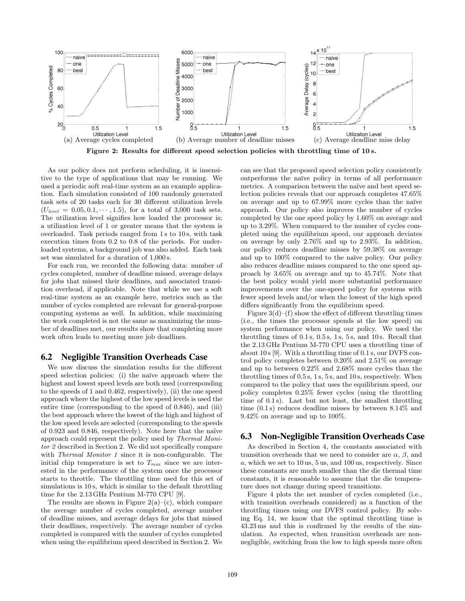

Figure 2: Results for different speed selection policies with throttling time of 10 s.

As our policy does not perform scheduling, it is insensitive to the type of applications that may be running. We used a periodic soft real-time system as an example application. Each simulation consisted of 100 randomly generated task sets of 20 tasks each for 30 different utilization levels  $(U_{level} = 0.05, 0.1, \dots, 1.5)$ , for a total of 3,000 task sets. The utilization level signifies how loaded the processor is; a utilization level of 1 or greater means that the system is overloaded. Task periods ranged from 1 s to 10 s, with task execution times from 0.2 to 0.8 of the periods. For underloaded systems, a background job was also added. Each task set was simulated for a duration of 1,000 s.

For each run, we recorded the following data: number of cycles completed, number of deadline missed, average delays for jobs that missed their deadlines, and associated transition overhead, if applicable. Note that while we use a soft real-time system as an example here, metrics such as the number of cycles completed are relevant for general-purpose computing systems as well. In addition, while maximizing the work completed is not the same as maximizing the number of deadlines met, our results show that completing more work often leads to meeting more job deadlines.

## 6.2 Negligible Transition Overheads Case

We now discuss the simulation results for the different speed selection policies: (i) the naïve approach where the highest and lowest speed levels are both used (corresponding to the speeds of 1 and 0.462, respectively), (ii) the one speed approach where the highest of the low speed levels is used the entire time (corresponding to the speed of 0.846), and (iii) the best approach where the lowest of the high and highest of the low speed levels are selected (corresponding to the speeds of  $0.923$  and  $0.846$ , respectively). Note here that the naïve approach could represent the policy used by Thermal Monitor 2 described in Section 2. We did not specifically compare with *Thermal Monitor 1* since it is non-configurable. The initial chip temperature is set to  $T_{max}$  since we are interested in the performance of the system once the processor starts to throttle. The throttling time used for this set of simulations is 10 s, which is similar to the default throttling time for the 2.13 GHz Pentium M-770 CPU [9].

The results are shown in Figure  $2(a)$ –(c), which compare the average number of cycles completed, average number of deadline misses, and average delays for jobs that missed their deadlines, respectively. The average number of cycles completed is compared with the number of cycles completed when using the equilibrium speed described in Section 2. We can see that the proposed speed selection policy consistently outperforms the na¨ıve policy in terms of all performance metrics. A comparison between the naïve and best speed selection policies reveals that our approach completes 47.65% on average and up to  $67.99\%$  more cycles than the naïve approach. Our policy also improves the number of cycles completed by the one speed policy by 1.60% on average and up to 3.29%. When compared to the number of cycles completed using the equilibrium speed, our approach deviates on average by only 2.76% and up to 2.93%. In addition, our policy reduces deadline misses by 59.38% on average and up to  $100\%$  compared to the naïve policy. Our policy also reduces deadline misses compared to the one speed approach by 3.65% on average and up to 45.74%. Note that the best policy would yield more substantial performance improvements over the one-speed policy for systems with fewer speed levels and/or when the lowest of the high speed differs significantly from the equilibrium speed.

Figure  $3(d)$ –(f) show the effect of different throttling times (i.e., the times the processor spends at the low speed) on system performance when using our policy. We used the throttling times of  $0.1$  s,  $0.5$  s,  $1$  s,  $5$  s, and  $10$  s. Recall that the 2.13 GHz Pentium M-770 CPU uses a throttling time of about 10 s [9]. With a throttling time of 0.1 s, our DVFS control policy completes between 0.20% and 2.51% on average and up to between 0.22% and 2.68% more cycles than the throttling times of 0.5 s, 1 s, 5 s, and 10 s, respectively. When compared to the policy that uses the equilibrium speed, our policy completes 0.25% fewer cycles (using the throttling time of 0.1 s). Last but not least, the smallest throttling time (0.1 s) reduces deadline misses by between 8.14% and 9.42% on average and up to 100%.

## 6.3 Non-Negligible Transition Overheads Case

As described in Section 4, the constants associated with transition overheads that we need to consider are  $\alpha$ ,  $\beta$ , and a, which we set to 10 us, 5 us, and 100 us, respectively. Since these constants are much smaller than the die thermal time constants, it is reasonable to assume that the die temperature does not change during speed transitions.

Figure 4 plots the net number of cycles completed (i.e., with transition overheads considered) as a function of the throttling times using our DVFS control policy. By solving Eq. 14, we know that the optimal throttling time is 43.23 ms and this is confirmed by the results of the simulation. As expected, when transition overheads are nonnegligible, switching from the low to high speeds more often